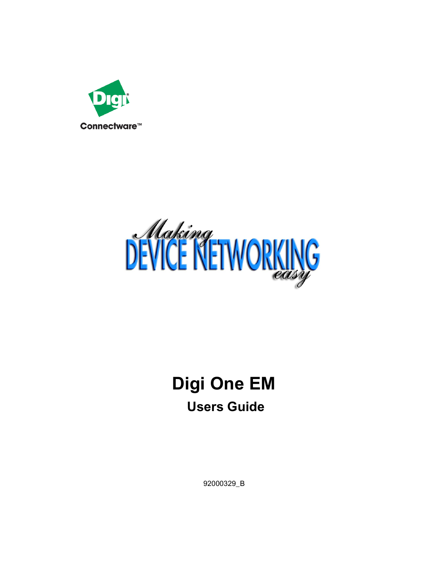



# **Digi One EM Users Guide**

92000329\_B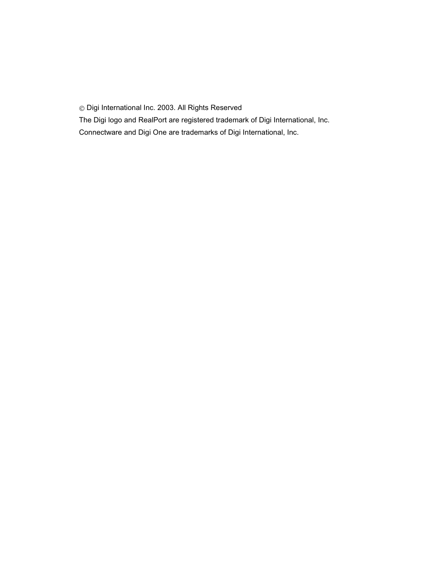Digi International Inc. 2003. All Rights Reserved

The Digi logo and RealPort are registered trademark of Digi International, Inc.

Connectware and Digi One are trademarks of Digi International, Inc.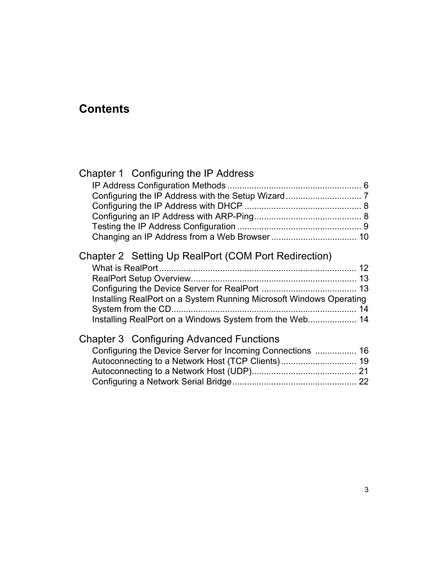## **Contents**

| Chapter 1 Configuring the IP Address                                                                                                                                                                                   |  |
|------------------------------------------------------------------------------------------------------------------------------------------------------------------------------------------------------------------------|--|
| Chapter 2 Setting Up RealPort (COM Port Redirection)<br>Installing RealPort on a System Running Microsoft Windows Operating                                                                                            |  |
| Installing RealPort on a Windows System from the Web 14<br>Chapter 3 Configuring Advanced Functions<br>Configuring the Device Server for Incoming Connections  16<br>Autoconnecting to a Network Host (TCP Clients) 19 |  |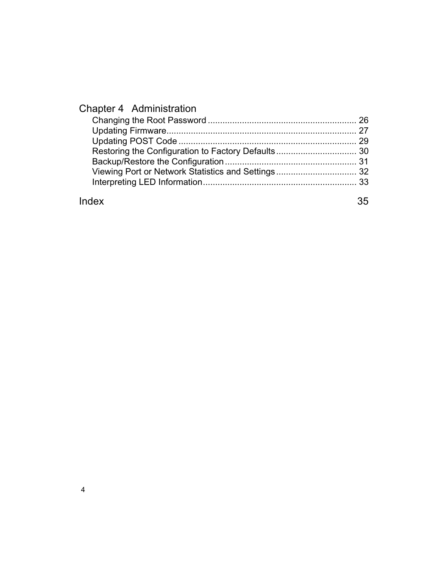| Chapter 4 Administration |  |
|--------------------------|--|
|                          |  |
|                          |  |
|                          |  |
|                          |  |
|                          |  |
|                          |  |
|                          |  |
| Index                    |  |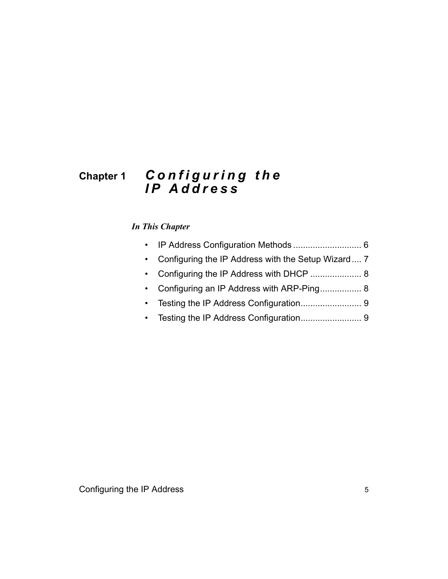## <span id="page-4-0"></span>**Chapter 1** *Configuring the IP Address*

#### *In This Chapter*

| • Configuring the IP Address with the Setup Wizard 7 |  |
|------------------------------------------------------|--|
| • Configuring the IP Address with DHCP  8            |  |
| • Configuring an IP Address with ARP-Ping 8          |  |
|                                                      |  |
|                                                      |  |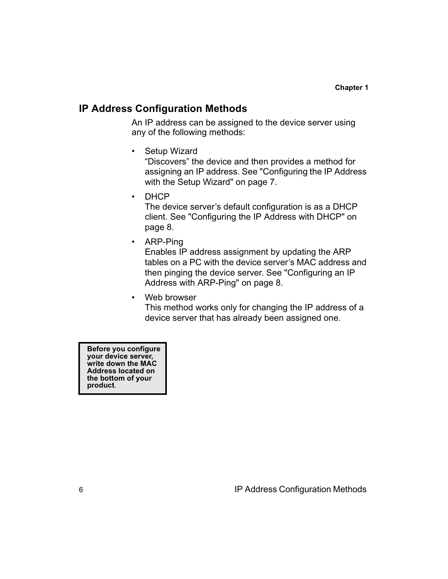### <span id="page-5-0"></span>**IP Address Configuration Methods**

<span id="page-5-1"></span>An IP address can be assigned to the device server using any of the following methods:

• Setup Wizard

"Discovers" the device and then provides a method for assigning an IP address. See ["Configuring the IP Address](#page-6-0)  [with the Setup Wizard" on page 7.](#page-6-0)

• DHCP

The device server's default configuration is as a DHCP client. See ["Configuring the IP Address with DHCP" on](#page-7-0)  [page 8.](#page-7-0)

• ARP-Ping

Enables IP address assignment by updating the ARP tables on a PC with the device server's MAC address and then pinging the device server. See ["Configuring an IP](#page-7-1)  [Address with ARP-Ping" on page 8.](#page-7-1)

• Web browser

This method works only for changing the IP address of a device server that has already been assigned one.

**Before you configure your device server, write down the MAC Address located on the bottom of your product**.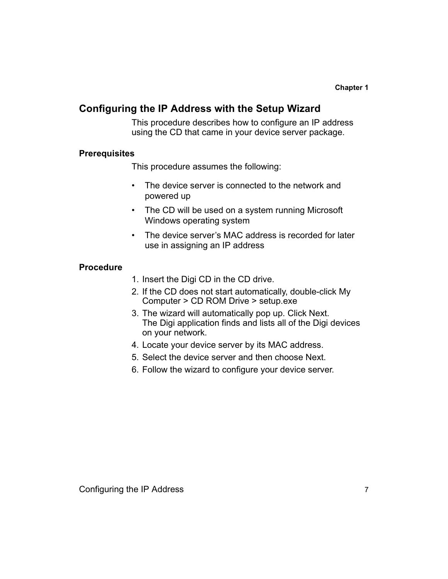## <span id="page-6-0"></span>**Configuring the IP Address with the Setup Wizard**

<span id="page-6-1"></span>This procedure describes how to configure an IP address using the CD that came in your device server package.

#### **Prerequisites**

This procedure assumes the following:

- The device server is connected to the network and powered up
- The CD will be used on a system running Microsoft Windows operating system
- The device server's MAC address is recorded for later use in assigning an IP address

#### **Procedure**

- 1. Insert the Digi CD in the CD drive.
- 2. If the CD does not start automatically, double-click My Computer > CD ROM Drive > setup.exe
- 3. The wizard will automatically pop up. Click Next. The Digi application finds and lists all of the Digi devices on your network.
- 4. Locate your device server by its MAC address.
- 5. Select the device server and then choose Next.
- 6. Follow the wizard to configure your device server.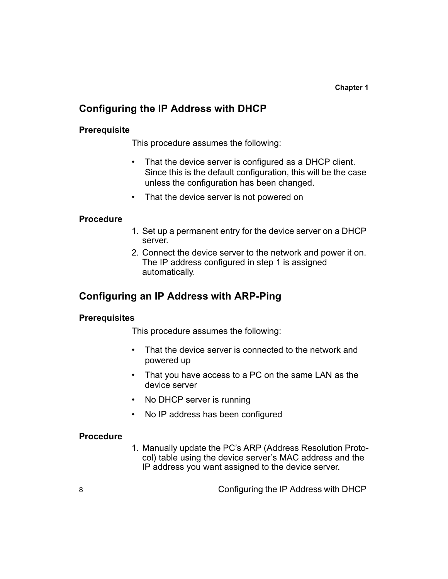## <span id="page-7-0"></span>**Configuring the IP Address with DHCP**

#### **Prerequisite**

<span id="page-7-3"></span>This procedure assumes the following:

- That the device server is configured as a DHCP client. Since this is the default configuration, this will be the case unless the configuration has been changed.
- That the device server is not powered on

#### **Procedure**

- 1. Set up a permanent entry for the device server on a DHCP server.
- <span id="page-7-2"></span>2. Connect the device server to the network and power it on. The IP address configured in step 1 is assigned automatically.

## <span id="page-7-1"></span>**Configuring an IP Address with ARP-Ping**

#### **Prerequisites**

This procedure assumes the following:

- That the device server is connected to the network and powered up
- That you have access to a PC on the same LAN as the device server
- No DHCP server is running
- No IP address has been configured

#### **Procedure**

1. Manually update the PC's ARP (Address Resolution Protocol) table using the device server's MAC address and the IP address you want assigned to the device server.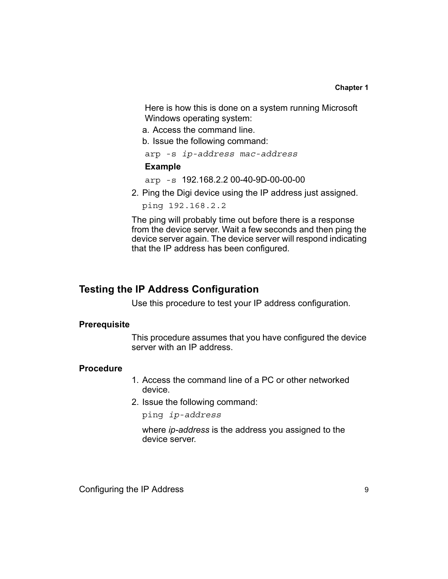Here is how this is done on a system running Microsoft Windows operating system:

- a. Access the command line.
- b. Issue the following command:

arp -s *ip-address mac-address*

#### **Example**

arp -s 192.168.2.2 00-40-9D-00-00-00

2. Ping the Digi device using the IP address just assigned.

ping 192.168.2.2

The ping will probably time out before there is a response from the device server. Wait a few seconds and then ping the device server again. The device server will respond indicating that the IP address has been configured.

## <span id="page-8-0"></span>**Testing the IP Address Configuration**

Use this procedure to test your IP address configuration.

#### **Prerequisite**

This procedure assumes that you have configured the device server with an IP address.

#### **Procedure**

- 1. Access the command line of a PC or other networked device.
- 2. Issue the following command:

ping *ip-address*

where *ip-address* is the address you assigned to the device server.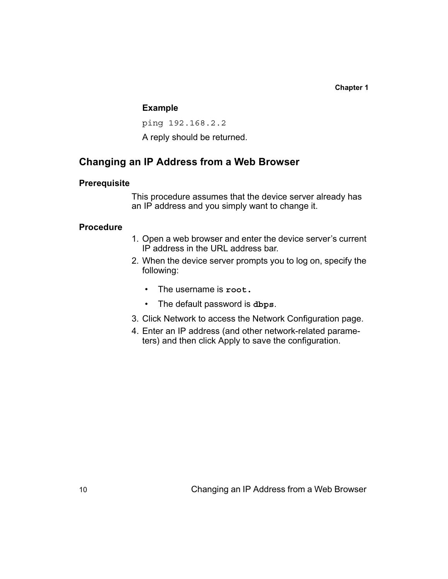### **Example**

ping 192.168.2.2

<span id="page-9-1"></span>A reply should be returned.

## <span id="page-9-0"></span>**Changing an IP Address from a Web Browser**

#### **Prerequisite**

This procedure assumes that the device server already has an IP address and you simply want to change it.

#### **Procedure**

- 1. Open a web browser and enter the device server's current IP address in the URL address bar.
- 2. When the device server prompts you to log on, specify the following:
	- The username is **root.**
	- The default password is **dbps**.
- 3. Click Network to access the Network Configuration page.
- 4. Enter an IP address (and other network-related parameters) and then click Apply to save the configuration.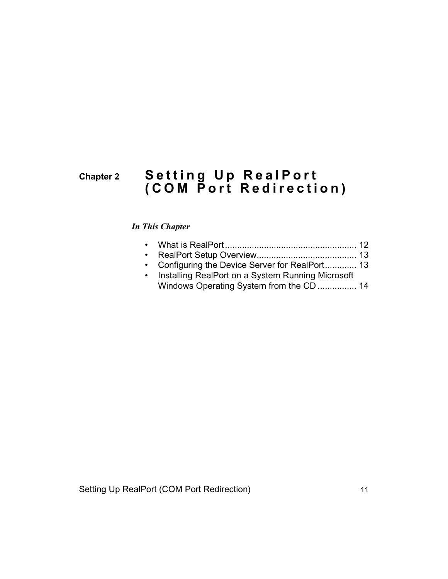## <span id="page-10-0"></span>**Chapter 2 Setting Up RealPort (COM Port Redirection)**

#### *In This Chapter*

<span id="page-10-1"></span>

| • Configuring the Device Server for RealPort 13     |  |
|-----------------------------------------------------|--|
| • Installing RealPort on a System Running Microsoft |  |
| Windows Operating System from the CD  14            |  |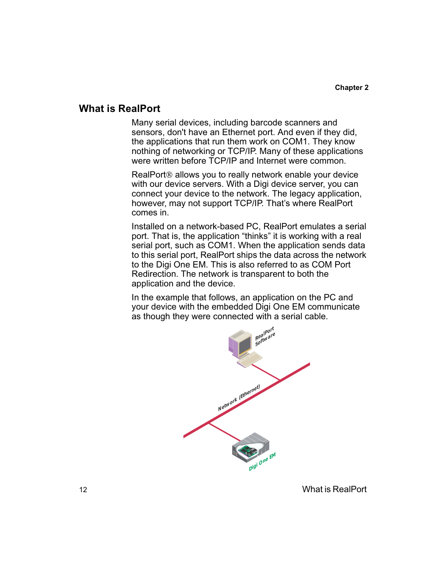### <span id="page-11-0"></span>**What is RealPort**

<span id="page-11-1"></span>Many serial devices, including barcode scanners and sensors, don't have an Ethernet port. And even if they did, the applications that run them work on COM1. They know nothing of networking or TCP/IP. Many of these applications were written before TCP/IP and Internet were common.

RealPort<sup>®</sup> allows you to really network enable your device with our device servers. With a Digi device server, you can connect your device to the network. The legacy application, however, may not support TCP/IP. That's where RealPort comes in.

Installed on a network-based PC, RealPort emulates a serial port. That is, the application "thinks" it is working with a real serial port, such as COM1. When the application sends data to this serial port, RealPort ships the data across the network to the Digi One EM. This is also referred to as COM Port Redirection. The network is transparent to both the application and the device.

In the example that follows, an application on the PC and your device with the embedded Digi One EM communicate as though they were connected with a serial cable.

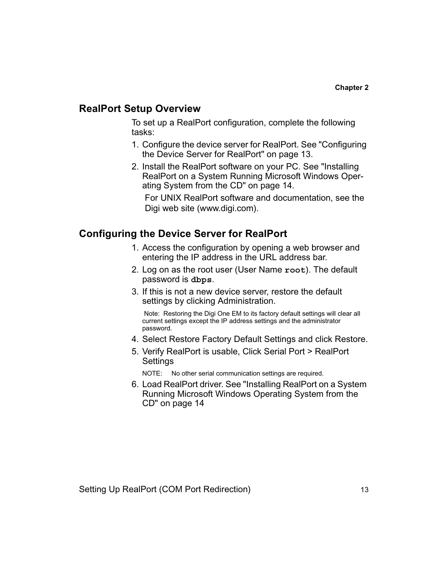## <span id="page-12-0"></span>**RealPort Setup Overview**

<span id="page-12-3"></span>To set up a RealPort configuration, complete the following tasks:

- 1. Configure the device server for RealPort. See ["Configuring](#page-12-1)  [the Device Server for RealPort" on page 13.](#page-12-1)
- 2. Install the RealPort software on your PC. See ["Installing](#page-13-0)  [RealPort on a System Running Microsoft Windows Oper](#page-13-0)[ating System from the CD" on page 14](#page-13-0).

<span id="page-12-2"></span>For UNIX RealPort software and documentation, see the Digi web site (www.digi.com).

## <span id="page-12-1"></span>**Configuring the Device Server for RealPort**

- 1. Access the configuration by opening a web browser and entering the IP address in the URL address bar.
- 2. Log on as the root user (User Name **root**). The default password is **dbps**.
- 3. If this is not a new device server, restore the default settings by clicking Administration.

 Note: Restoring the Digi One EM to its factory default settings will clear all current settings except the IP address settings and the administrator password.

- 4. Select Restore Factory Default Settings and click Restore.
- 5. Verify RealPort is usable, Click Serial Port > RealPort **Settings**

NOTE: No other serial communication settings are required.

6. Load RealPort driver. See ["Installing RealPort on a System](#page-13-0)  [Running Microsoft Windows Operating System from the](#page-13-0)  [CD" on page 14](#page-13-0)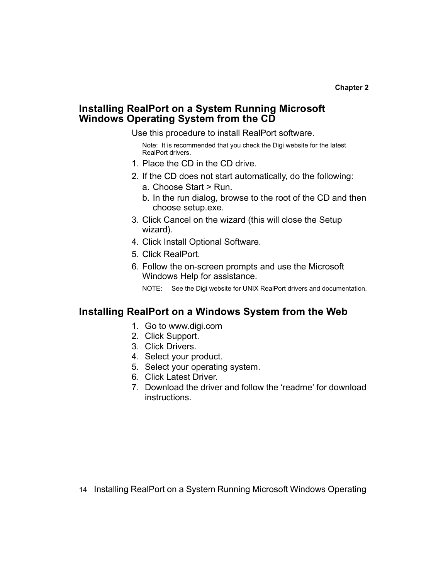### <span id="page-13-0"></span>**Installing RealPort on a System Running Microsoft Windows Operating System from the CD**

Use this procedure to install RealPort software.

<span id="page-13-2"></span>Note: It is recommended that you check the Digi website for the latest RealPort drivers.

- 1. Place the CD in the CD drive.
- 2. If the CD does not start automatically, do the following:
	- a. Choose Start > Run.
	- b. In the run dialog, browse to the root of the CD and then choose setup.exe.
- 3. Click Cancel on the wizard (this will close the Setup wizard).
- 4. Click Install Optional Software.
- 5. Click RealPort.
- 6. Follow the on-screen prompts and use the Microsoft Windows Help for assistance.

NOTE: See the Digi website for UNIX RealPort drivers and documentation.

## <span id="page-13-1"></span>**Installing RealPort on a Windows System from the Web**

- 1. Go to www.digi.com
- 2. Click Support.
- 3. Click Drivers.
- 4. Select your product.
- 5. Select your operating system.
- 6. Click Latest Driver.
- 7. Download the driver and follow the 'readme' for download instructions.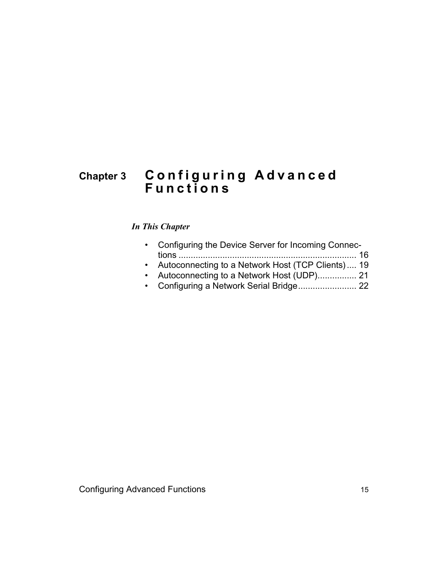## <span id="page-14-0"></span>**Chapter 3 Configuring Advanced Functions**

*In This Chapter*

| • Configuring the Device Server for Incoming Connec- |
|------------------------------------------------------|
|                                                      |
| • Autoconnecting to a Network Host (TCP Clients)  19 |
| • Autoconnecting to a Network Host (UDP) 21          |
| • Configuring a Network Serial Bridge 22             |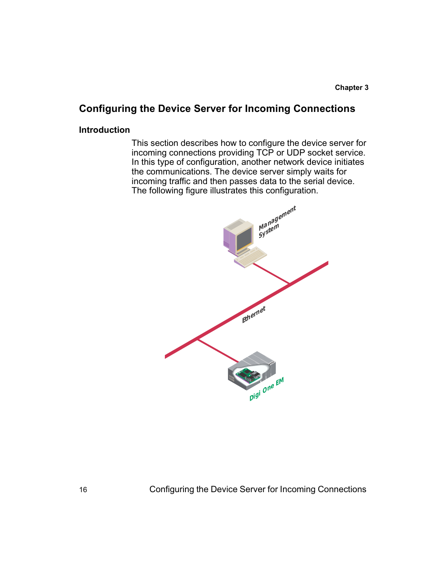## <span id="page-15-0"></span>**Configuring the Device Server for Incoming Connections**

#### **Introduction**

<span id="page-15-1"></span>This section describes how to configure the device server for incoming connections providing TCP or UDP socket service. In this type of configuration, another network device initiates the communications. The device server simply waits for incoming traffic and then passes data to the serial device. The following figure illustrates this configuration.

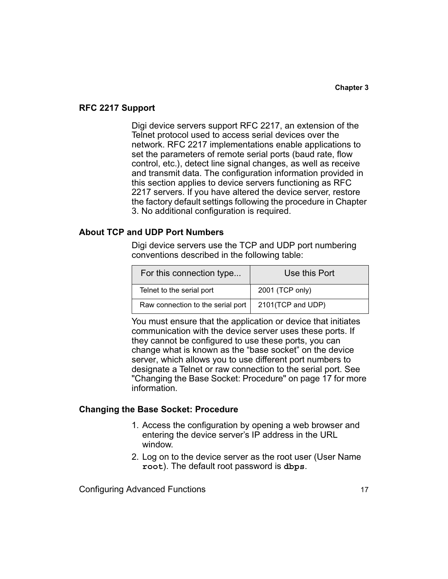#### **RFC 2217 Support**

<span id="page-16-1"></span>Digi device servers support RFC 2217, an extension of the Telnet protocol used to access serial devices over the network. RFC 2217 implementations enable applications to set the parameters of remote serial ports (baud rate, flow control, etc.), detect line signal changes, as well as receive and transmit data. The configuration information provided in this section applies to device servers functioning as RFC 2217 servers. If you have altered the device server, restore the factory default settings following the procedure in Chapter 3. No additional configuration is required.

#### **About TCP and UDP Port Numbers**

Digi device servers use the TCP and UDP port numbering conventions described in the following table:

| For this connection type          | Use this Port     |  |
|-----------------------------------|-------------------|--|
| Telnet to the serial port         | 2001 (TCP only)   |  |
| Raw connection to the serial port | 2101(TCP and UDP) |  |

You must ensure that the application or device that initiates communication with the device server uses these ports. If they cannot be configured to use these ports, you can change what is known as the "base socket" on the device server, which allows you to use different port numbers to designate a Telnet or raw connection to the serial port. See ["Changing the Base Socket: Procedure" on page 17](#page-16-0) for more information.

#### <span id="page-16-0"></span>**Changing the Base Socket: Procedure**

- 1. Access the configuration by opening a web browser and entering the device server's IP address in the URL window.
- 2. Log on to the device server as the root user (User Name **root**). The default root password is **dbps**.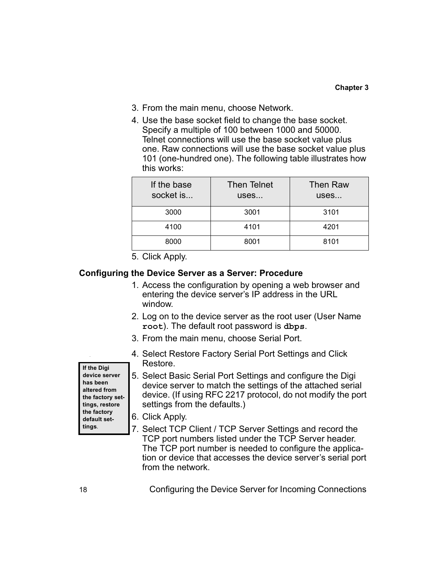- 3. From the main menu, choose Network.
- 4. Use the base socket field to change the base socket. Specify a multiple of 100 between 1000 and 50000. Telnet connections will use the base socket value plus one. Raw connections will use the base socket value plus 101 (one-hundred one). The following table illustrates how this works:

| If the base<br>socket is | <b>Then Telnet</b><br>uses | <b>Then Raw</b><br>uses |
|--------------------------|----------------------------|-------------------------|
| 3000                     | 3001                       | 3101                    |
| 4100                     | 4101                       | 4201                    |
| 8000                     | 8001                       | 8101                    |

5. Click Apply.

#### **Configuring the Device Server as a Server: Procedure**

- 1. Access the configuration by opening a web browser and entering the device server's IP address in the URL window.
- 2. Log on to the device server as the root user (User Name **root**). The default root password is **dbps**.
- 3. From the main menu, choose Serial Port.
- . 4. Select Restore Factory Serial Port Settings and Click Restore.
- 5. Select Basic Serial Port Settings and configure the Digi device server to match the settings of the attached serial device. (If using RFC 2217 protocol, do not modify the port settings from the defaults.)
	- 6. Click Apply.
	- 7. Select TCP Client / TCP Server Settings and record the TCP port numbers listed under the TCP Server header. The TCP port number is needed to configure the application or device that accesses the device server's serial port from the network.

**If the Digi device server has been altered from the factory settings, restore the factory default settings**.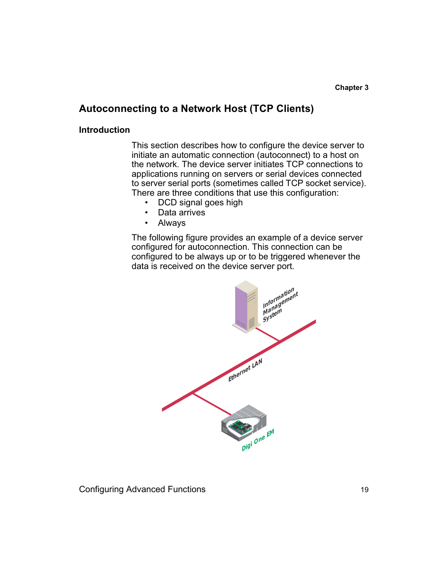## <span id="page-18-0"></span>**Autoconnecting to a Network Host (TCP Clients)**

#### **Introduction**

<span id="page-18-1"></span>This section describes how to configure the device server to initiate an automatic connection (autoconnect) to a host on the network. The device server initiates TCP connections to applications running on servers or serial devices connected to server serial ports (sometimes called TCP socket service). There are three conditions that use this configuration:

- DCD signal goes high
- Data arrives
- Always

The following figure provides an example of a device server configured for autoconnection. This connection can be configured to be always up or to be triggered whenever the data is received on the device server port.

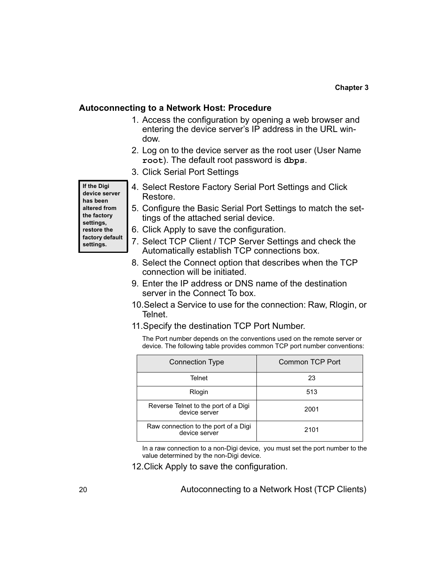#### **Autoconnecting to a Network Host: Procedure**

- 1. Access the configuration by opening a web browser and entering the device server's IP address in the URL window.
- 2. Log on to the device server as the root user (User Name **root**). The default root password is **dbps**.
- 3. Click Serial Port Settings

**If the Digi device server has been altered from the factory settings, restore the factory default settings.**

- 4. Select Restore Factory Serial Port Settings and Click Restore.
- 5. Configure the Basic Serial Port Settings to match the settings of the attached serial device.
- 6. Click Apply to save the configuration.
- 7. Select TCP Client / TCP Server Settings and check the Automatically establish TCP connections box.
- 8. Select the Connect option that describes when the TCP connection will be initiated.
- 9. Enter the IP address or DNS name of the destination server in the Connect To box.
- 10.Select a Service to use for the connection: Raw, Rlogin, or Telnet.
- 11.Specify the destination TCP Port Number.

The Port number depends on the conventions used on the remote server or device. The following table provides common TCP port number conventions:

| <b>Connection Type</b>                                | <b>Common TCP Port</b> |
|-------------------------------------------------------|------------------------|
| Telnet                                                | 23                     |
| Rlogin                                                | 513                    |
| Reverse Telnet to the port of a Digi<br>device server | 2001                   |
| Raw connection to the port of a Digi<br>device server | 2101                   |

In a raw connection to a non-Digi device, you must set the port number to the value determined by the non-Digi device.

12.Click Apply to save the configuration.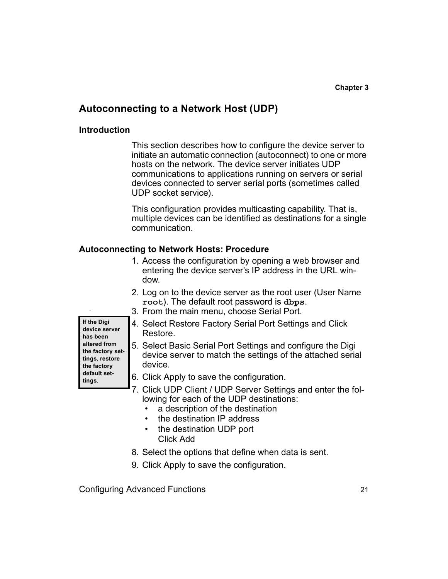## <span id="page-20-0"></span>**Autoconnecting to a Network Host (UDP)**

#### **Introduction**

<span id="page-20-2"></span><span id="page-20-1"></span>This section describes how to configure the device server to initiate an automatic connection (autoconnect) to one or more hosts on the network. The device server initiates UDP communications to applications running on servers or serial devices connected to server serial ports (sometimes called UDP socket service).

This configuration provides multicasting capability. That is, multiple devices can be identified as destinations for a single communication.

#### **Autoconnecting to Network Hosts: Procedure**

- 1. Access the configuration by opening a web browser and entering the device server's IP address in the URL window.
- 2. Log on to the device server as the root user (User Name **root**). The default root password is **dbps**.
- . 3. From the main menu, choose Serial Port.

**If the Digi device server has been altered from the factory settings, restore the factory default settings**.

- 4. Select Restore Factory Serial Port Settings and Click Restore.
- 5. Select Basic Serial Port Settings and configure the Digi device server to match the settings of the attached serial device.
- 6. Click Apply to save the configuration.
- 7. Click UDP Client / UDP Server Settings and enter the following for each of the UDP destinations:
	- a description of the destination
	- the destination IP address
	- the destination UDP port Click Add
- 8. Select the options that define when data is sent.
- 9. Click Apply to save the configuration.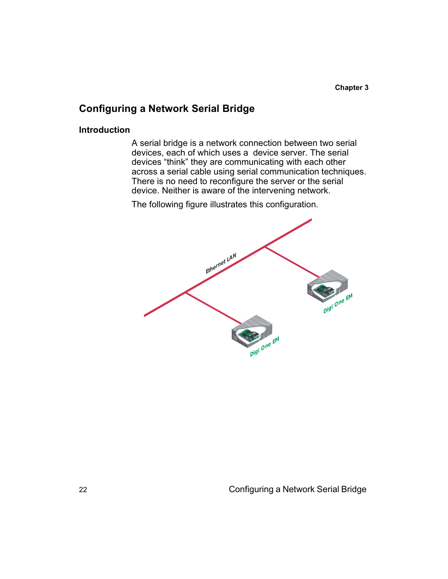## <span id="page-21-0"></span>**Configuring a Network Serial Bridge**

#### **Introduction**

A serial bridge is a network connection between two serial devices, each of which uses a device server. The serial devices "think" they are communicating with each other across a serial cable using serial communication techniques. There is no need to reconfigure the server or the serial device. Neither is aware of the intervening network.

The following figure illustrates this configuration.

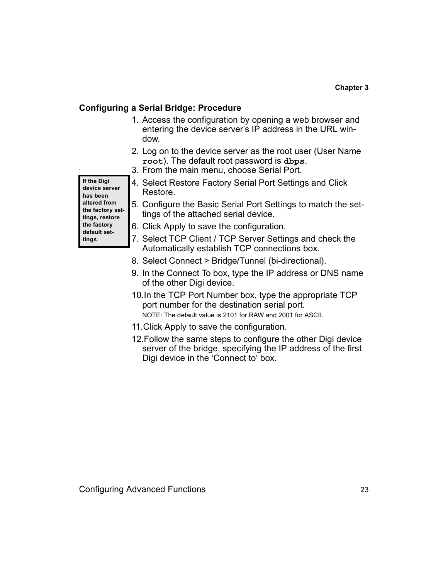#### **Configuring a Serial Bridge: Procedure**

- 1. Access the configuration by opening a web browser and entering the device server's IP address in the URL window.
- 2. Log on to the device server as the root user (User Name **root**). The default root password is **dbps**.
- . 3. From the main menu, choose Serial Port.

**If the Digi device server has been altered from the factory settings, restore the factory default settings**.

- 4. Select Restore Factory Serial Port Settings and Click Restore.
- 5. Configure the Basic Serial Port Settings to match the settings of the attached serial device.
- 6. Click Apply to save the configuration.
- 7. Select TCP Client / TCP Server Settings and check the Automatically establish TCP connections box.
- 8. Select Connect > Bridge/Tunnel (bi-directional).
- 9. In the Connect To box, type the IP address or DNS name of the other Digi device.
- 10.In the TCP Port Number box, type the appropriate TCP port number for the destination serial port. NOTE: The default value is 2101 for RAW and 2001 for ASCII.
- 11.Click Apply to save the configuration.
- 12.Follow the same steps to configure the other Digi device server of the bridge, specifying the IP address of the first Digi device in the 'Connect to' box.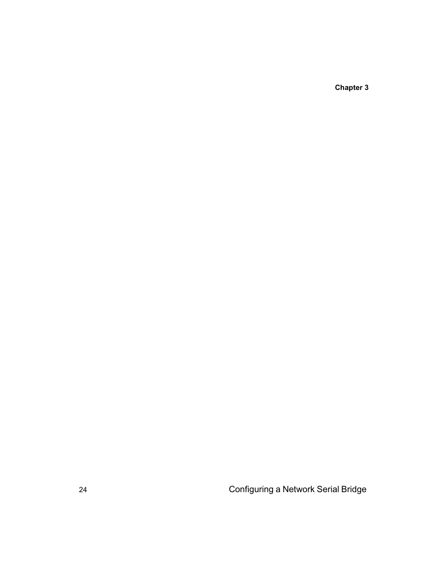#### **Chapter 3**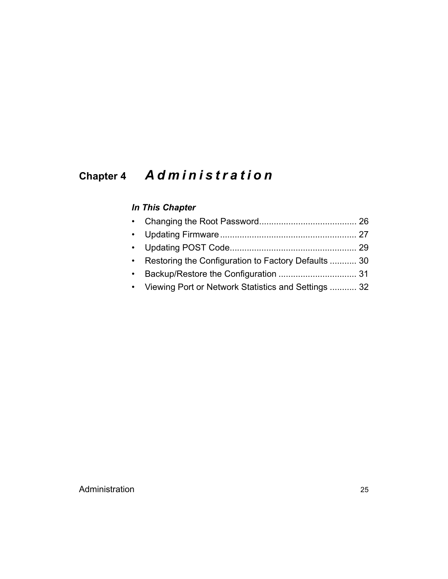# <span id="page-24-0"></span>**Chapter 4** *Administration*

### *In This Chapter*

| • Restoring the Configuration to Factory Defaults  30 |  |
|-------------------------------------------------------|--|
|                                                       |  |
| • Viewing Port or Network Statistics and Settings  32 |  |
|                                                       |  |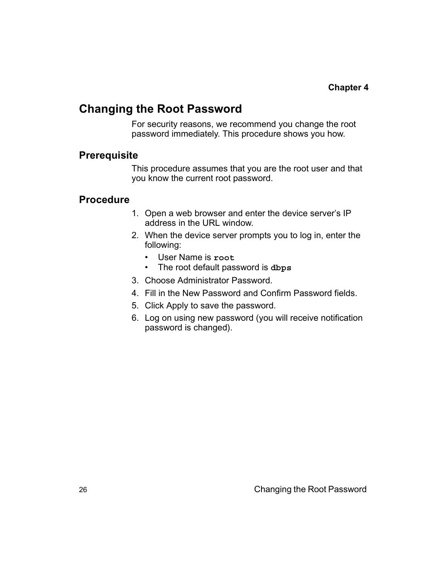## <span id="page-25-0"></span>**Changing the Root Password**

<span id="page-25-1"></span>For security reasons, we recommend you change the root password immediately. This procedure shows you how.

## **Prerequisite**

This procedure assumes that you are the root user and that you know the current root password.

## **Procedure**

- 1. Open a web browser and enter the device server's IP address in the URL window.
- 2. When the device server prompts you to log in, enter the following:
	- User Name is **root**
	- The root default password is **dbps**
- 3. Choose Administrator Password.
- 4. Fill in the New Password and Confirm Password fields.
- 5. Click Apply to save the password.
- 6. Log on using new password (you will receive notification password is changed).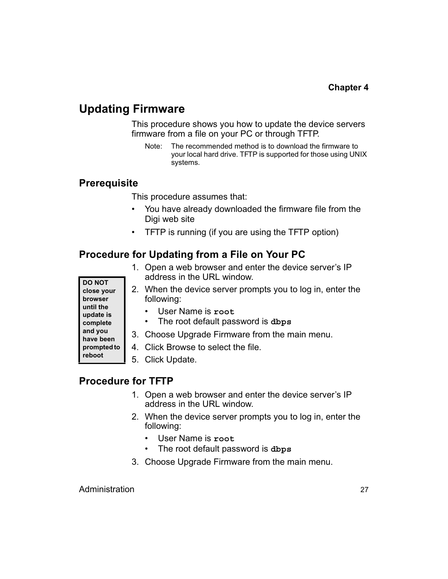## <span id="page-26-0"></span>**Updating Firmware**

This procedure shows you how to update the device servers firmware from a file on your PC or through TFTP.

Note: The recommended method is to download the firmware to your local hard drive. TFTP is supported for those using UNIX systems.

## **Prerequisite**

This procedure assumes that:

- You have already downloaded the firmware file from the Digi web site
- TFTP is running (if you are using the TFTP option)

## **Procedure for Updating from a File on Your PC**

1. Open a web browser and enter the device server's IP address in the URL window.

- 2. When the device server prompts you to log in, enter the following:
	- User Name is **root**
	- The root default password is **dbps**
- 3. Choose Upgrade Firmware from the main menu.
- 4. Click Browse to select the file.
- 5. Click Update.

## **Procedure for TFTP**

- 1. Open a web browser and enter the device server's IP address in the URL window.
- 2. When the device server prompts you to log in, enter the following:
	- User Name is **root**
	- The root default password is **dbps**
- 3. Choose Upgrade Firmware from the main menu.

**DO NOT close your browser until the update is complete and you have been prompted to reboot**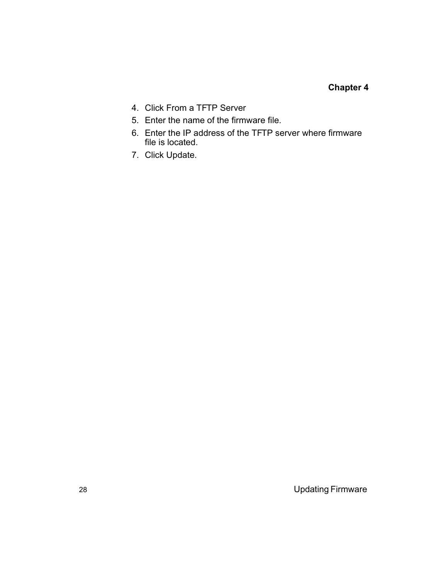- 4. Click From a TFTP Server
- 5. Enter the name of the firmware file.
- 6. Enter the IP address of the TFTP server where firmware file is located.
- 7. Click Update.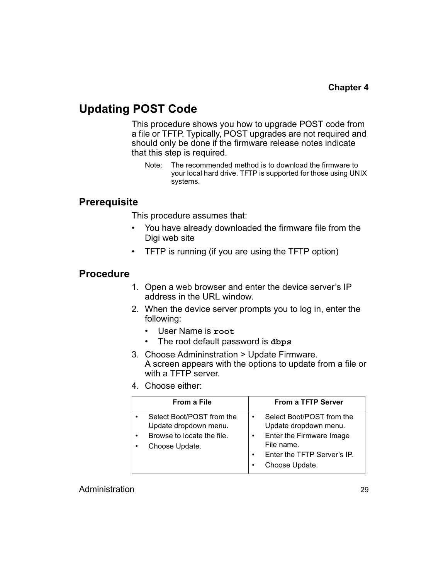## <span id="page-28-0"></span>**Updating POST Code**

This procedure shows you how to upgrade POST code from a file or TFTP. Typically, POST upgrades are not required and should only be done if the firmware release notes indicate that this step is required.

Note: The recommended method is to download the firmware to your local hard drive. TFTP is supported for those using UNIX systems.

## **Prerequisite**

This procedure assumes that:

- You have already downloaded the firmware file from the Digi web site
- TFTP is running (if you are using the TFTP option)

## **Procedure**

- 1. Open a web browser and enter the device server's IP address in the URL window.
- 2. When the device server prompts you to log in, enter the following:
	- User Name is **root**
	- The root default password is **dbps**
- 3. Choose Admininstration > Update Firmware. A screen appears with the options to update from a file or with a TFTP server.
- 4. Choose either:

| From a File                                        | <b>From a TFTP Server</b>                          |
|----------------------------------------------------|----------------------------------------------------|
| Select Boot/POST from the<br>Update dropdown menu. | Select Boot/POST from the<br>Update dropdown menu. |
| Browse to locate the file.<br>Choose Update.       | Enter the Firmware Image<br>File name.             |
|                                                    | Enter the TFTP Server's IP.                        |
|                                                    | Choose Update.                                     |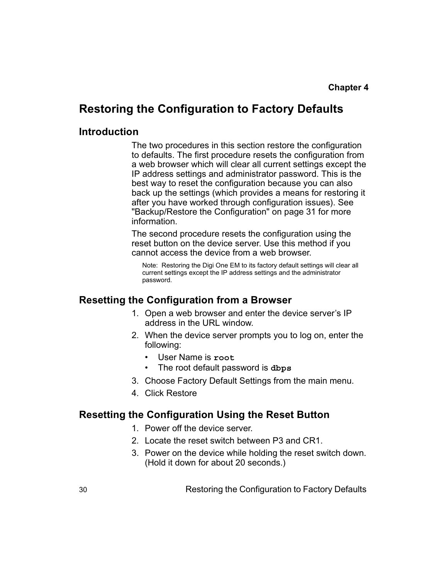## <span id="page-29-0"></span>**Restoring the Configuration to Factory Defaults**

## **Introduction**

<span id="page-29-1"></span>The two procedures in this section restore the configuration to defaults. The first procedure resets the configuration from a web browser which will clear all current settings except the IP address settings and administrator password. This is the best way to reset the configuration because you can also back up the settings (which provides a means for restoring it after you have worked through configuration issues). See ["Backup/Restore the Configuration" on page 31](#page-30-0) for more information.

The second procedure resets the configuration using the reset button on the device server. Use this method if you cannot access the device from a web browser.

Note: Restoring the Digi One EM to its factory default settings will clear all current settings except the IP address settings and the administrator password.

## **Resetting the Configuration from a Browser**

- 1. Open a web browser and enter the device server's IP address in the URL window.
- 2. When the device server prompts you to log on, enter the following:
	- User Name is **root**
	- The root default password is **dbps**
- 3. Choose Factory Default Settings from the main menu.
- 4. Click Restore

## **Resetting the Configuration Using the Reset Button**

- 1. Power off the device server.
- 2. Locate the reset switch between P3 and CR1.
- 3. Power on the device while holding the reset switch down. (Hold it down for about 20 seconds.)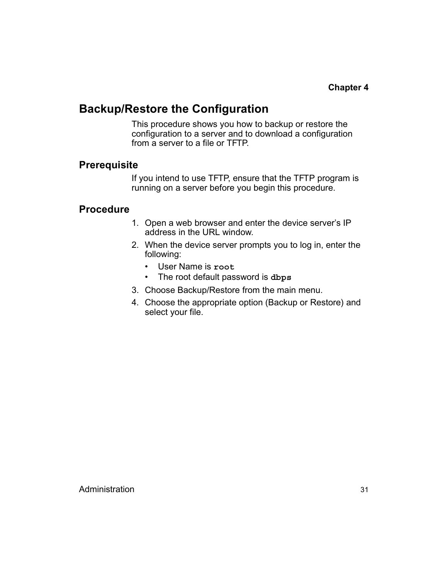## <span id="page-30-0"></span>**Backup/Restore the Configuration**

<span id="page-30-1"></span>This procedure shows you how to backup or restore the configuration to a server and to download a configuration from a server to a file or TFTP.

### **Prerequisite**

If you intend to use TFTP, ensure that the TFTP program is running on a server before you begin this procedure.

## **Procedure**

- 1. Open a web browser and enter the device server's IP address in the URL window.
- 2. When the device server prompts you to log in, enter the following:
	- User Name is **root**
	- The root default password is **dbps**
- 3. Choose Backup/Restore from the main menu.
- 4. Choose the appropriate option (Backup or Restore) and select your file.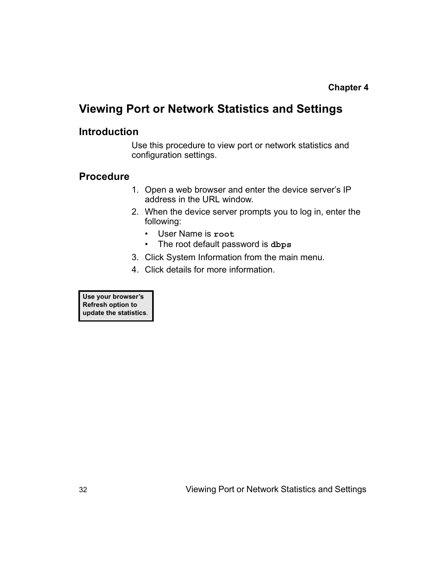## <span id="page-31-0"></span>**Viewing Port or Network Statistics and Settings**

## **Introduction**

<span id="page-31-1"></span>Use this procedure to view port or network statistics and configuration settings.

## **Procedure**

- 1. Open a web browser and enter the device server's IP address in the URL window.
- 2. When the device server prompts you to log in, enter the following:
	- User Name is **root**
	- The root default password is **dbps**
- 3. Click System Information from the main menu.
- 4. Click details for more information.

**Use your browser's Refresh option to update the statistics**.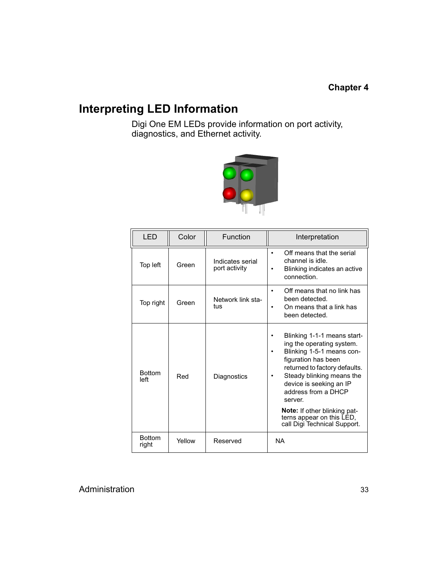## <span id="page-32-0"></span>**Interpreting LED Information**

Digi One EM LEDs provide information on port activity, diagnostics, and Ethernet activity.



<span id="page-32-1"></span>

| <b>LED</b>             | Color  | Function                          | Interpretation                                                                                                                                                                                                                                                                                                                              |
|------------------------|--------|-----------------------------------|---------------------------------------------------------------------------------------------------------------------------------------------------------------------------------------------------------------------------------------------------------------------------------------------------------------------------------------------|
| Top left               | Green  | Indicates serial<br>port activity | Off means that the serial<br>channel is idle.<br>Blinking indicates an active<br>connection.                                                                                                                                                                                                                                                |
| Top right              | Green  | Network link sta-<br>tus          | Off means that no link has<br>٠<br>been detected.<br>On means that a link has<br>been detected.                                                                                                                                                                                                                                             |
| <b>Bottom</b><br>left  | Red    | Diagnostics                       | Blinking 1-1-1 means start-<br>ing the operating system.<br>Blinking 1-5-1 means con-<br>figuration has been<br>returned to factory defaults.<br>Steady blinking means the<br>device is seeking an IP<br>address from a DHCP<br>server.<br><b>Note:</b> If other blinking pat-<br>terns appear on this LED,<br>call Digi Technical Support. |
| <b>Bottom</b><br>right | Yellow | Reserved                          | <b>NA</b>                                                                                                                                                                                                                                                                                                                                   |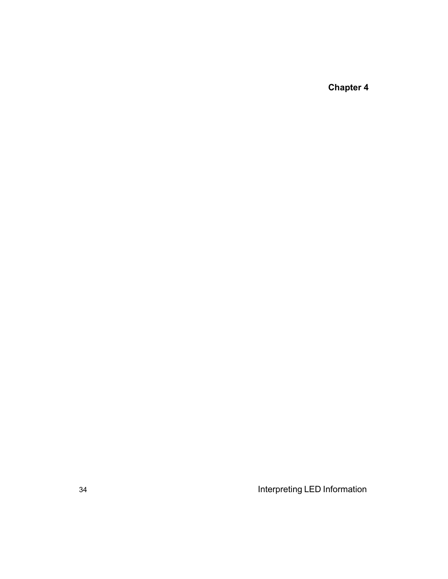### **Chapter 4**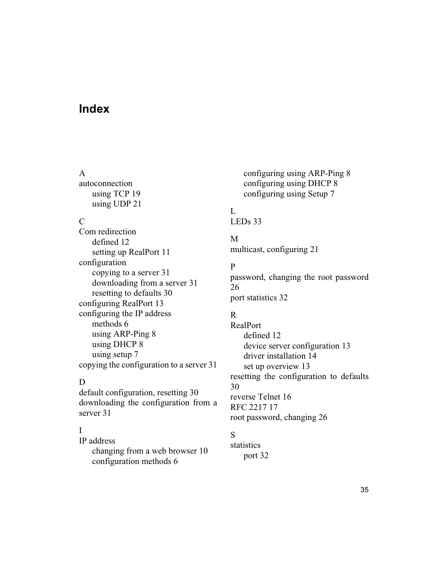## <span id="page-34-0"></span>**Index**

#### A

autoconnection [using TCP 19](#page-18-1) [using UDP 21](#page-20-1)

#### $\overline{C}$

Com redirection [defined 12](#page-11-1) [setting up RealPort 11](#page-10-1) configuration [copying to a server 31](#page-30-1) [downloading from a server 31](#page-30-1) [resetting to defaults 30](#page-29-1) [configuring RealPort 13](#page-12-2) configuring the IP address [methods 6](#page-5-1) [using ARP-Ping 8](#page-7-2) [using DHCP 8](#page-7-3) [using setup 7](#page-6-1) [copying the configuration to a server 31](#page-30-1)

#### D

[default configuration, resetting 30](#page-29-1) [downloading the configuration from a](#page-30-1) server 31

#### I

IP address [changing from a web browser 10](#page-9-1) [configuration methods 6](#page-5-1)

[configuring using ARP-Ping 8](#page-7-2) [configuring using DHCP 8](#page-7-3) [configuring using Setup 7](#page-6-1)

#### L

[LEDs 33](#page-32-1)

M [multicast, configuring 21](#page-20-2)

#### P

[password, changing the root password](#page-25-1) 26 [port statistics 32](#page-31-1)

#### R

RealPort [defined 12](#page-11-1) [device server configuration 13](#page-12-2) [driver installation 14](#page-13-2) [set up overview 13](#page-12-3) [resetting the configuration to defaults](#page-29-1) 30 [reverse Telnet 16](#page-15-1) [RFC 2217 17](#page-16-1) [root password, changing 26](#page-25-1)

#### S

statistics [port 32](#page-31-1)